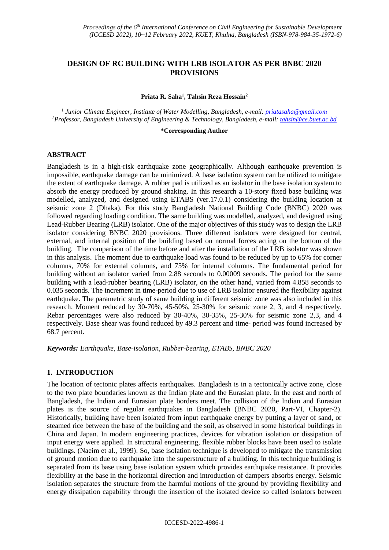# **DESIGN OF RC BUILDING WITH LRB ISOLATOR AS PER BNBC 2020 PROVISIONS**

#### **Priata R. Saha<sup>1</sup> , Tahsin Reza Hossain<sup>2</sup>**

1 *Junior Climate Engineer, Institute of Water Modelling, Bangladesh, e-mail[: priatasaha@gmail.com](mailto:priatasaha@gmail.com) <sup>2</sup>Professor, Bangladesh University of Engineering & Technology, Bangladesh, e-mail: [tahsin@ce.buet.ac.bd](mailto:tahsin@ce.buet.ac.bd)*

#### **\*Corresponding Author**

#### **ABSTRACT**

Bangladesh is in a high-risk earthquake zone geographically. Although earthquake prevention is impossible, earthquake damage can be minimized. A base isolation system can be utilized to mitigate the extent of earthquake damage. A rubber pad is utilized as an isolator in the base isolation system to absorb the energy produced by ground shaking. In this research a 10-story fixed base building was modelled, analyzed, and designed using ETABS (ver.17.0.1) considering the building location at seismic zone 2 (Dhaka). For this study Bangladesh National Building Code (BNBC) 2020 was followed regarding loading condition. The same building was modelled, analyzed, and designed using Lead-Rubber Bearing (LRB) isolator. One of the major objectives of this study was to design the LRB isolator considering BNBC 2020 provisions. Three different isolators were designed for central, external, and internal position of the building based on normal forces acting on the bottom of the building. The comparison of the time before and after the installation of the LRB isolator was shown in this analysis. The moment due to earthquake load was found to be reduced by up to 65% for corner columns, 70% for external columns, and 75% for internal columns. The fundamental period for building without an isolator varied from 2.88 seconds to 0.00009 seconds. The period for the same building with a lead-rubber bearing (LRB) isolator, on the other hand, varied from 4.858 seconds to 0.035 seconds. The increment in time-period due to use of LRB isolator ensured the flexibility against earthquake. The parametric study of same building in different seismic zone was also included in this research. Moment reduced by 30-70%, 45-50%, 25-30% for seismic zone 2, 3, and 4 respectively. Rebar percentages were also reduced by 30-40%, 30-35%, 25-30% for seismic zone 2,3, and 4 respectively. Base shear was found reduced by 49.3 percent and time- period was found increased by 68.7 percent.

*Keywords: Earthquake, Base-isolation, Rubber-bearing, ETABS, BNBC 2020*

### **1. INTRODUCTION**

The location of tectonic plates affects earthquakes. Bangladesh is in a tectonically active zone, close to the two plate boundaries known as the Indian plate and the Eurasian plate. In the east and north of Bangladesh, the Indian and Eurasian plate borders meet. The collision of the Indian and Eurasian plates is the source of regular earthquakes in Bangladesh (BNBC 2020, Part-VI, Chapter-2). Historically, building have been isolated from input earthquake energy by putting a layer of sand, or steamed rice between the base of the building and the soil, as observed in some historical buildings in China and Japan. In modern engineering practices, devices for vibration isolation or dissipation of input energy were applied. In structural engineering, flexible rubber blocks have been used to isolate buildings. (Naeim et al., 1999). So, base isolation technique is developed to mitigate the transmission of ground motion due to earthquake into the superstructure of a building. In this technique building is separated from its base using base isolation system which provides earthquake resistance. It provides flexibility at the base in the horizontal direction and introduction of dampers absorbs energy. Seismic isolation separates the structure from the harmful motions of the ground by providing flexibility and energy dissipation capability through the insertion of the isolated device so called isolators between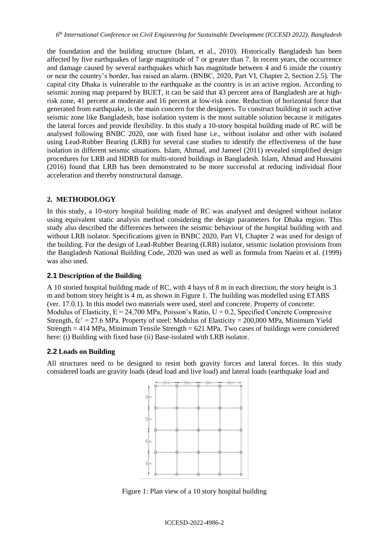the foundation and the building structure (Islam, et al., 2010). Historically Bangladesh has been affected by five earthquakes of large magnitude of 7 or greater than 7. In recent years, the occurrence and damage caused by several earthquakes which has magnitude between 4 and 6 inside the country or near the country's border, has raised an alarm. (BNBC, 2020, Part VI, Chapter 2, Section 2.5). The capital city Dhaka is vulnerable to the earthquake as the country is in an active region. According to seismic zoning map prepared by BUET, it can be said that 43 percent area of Bangladesh are at highrisk zone, 41 percent at moderate and 16 percent at low-risk zone. Reduction of horizontal force that generated from earthquake, is the main concern for the designers. To construct building in such active seismic zone like Bangladesh, base isolation system is the most suitable solution because it mitigates the lateral forces and provide flexibility. In this study a 10-story hospital building made of RC will be analysed following BNBC 2020, one with fixed base i.e., without isolator and other with isolated using Lead-Rubber Bearing (LRB) for several case studies to identify the effectiveness of the base isolation in different seismic situations. Islam, Ahmad, and Jameel (2011) revealed simplified design procedures for LRB and HDRB for multi-stored buildings in Bangladesh. Islam, Ahmad and Hussaini (2016) found that LRB has been demonstrated to be more successful at reducing individual floor acceleration and thereby nonstructural damage.

### **2. METHODOLOGY**

In this study, a 10-story hospital building made of RC was analysed and designed without isolator using equivalent static analysis method considering the design parameters for Dhaka region. This study also described the differences between the seismic behaviour of the hospital building with and without LRB isolator. Specifications given in BNBC 2020, Part VI, Chapter 2 was used for design of the building. For the design of Lead-Rubber Bearing (LRB) isolator, seismic isolation provisions from the Bangladesh National Building Code, 2020 was used as well as formula from Naeim et al. (1999) was also used.

# **2.1 Description of the Building**

A 10 storied hospital building made of RC, with 4 bays of 8 m in each direction, the story height is 3 m and bottom story height is 4 m, as shown in Figure 1. The building was modelled using ETABS (ver. 17.0.1). In this model two materials were used, steel and concrete. Property of concrete: Modulus of Elasticity,  $E = 24,700$  MPa, Poisson's Ratio,  $U = 0.2$ , Specified Concrete Compressive Strength,  $fc' = 27.6$  MPa. Property of steel: Modulus of Elasticity = 200,000 MPa, Minimum Yield Strength = 414 MPa, Minimum Tensile Strength = 621 MPa. Two cases of buildings were considered here: (i) Building with fixed base (ii) Base-isolated with LRB isolator.

### **2.2 Loads on Building**

All structures need to be designed to resist both gravity forces and lateral forces. In this study considered loads are gravity loads (dead load and live load) and lateral loads (earthquake load and



Figure 1: Plan view of a 10 story hospital building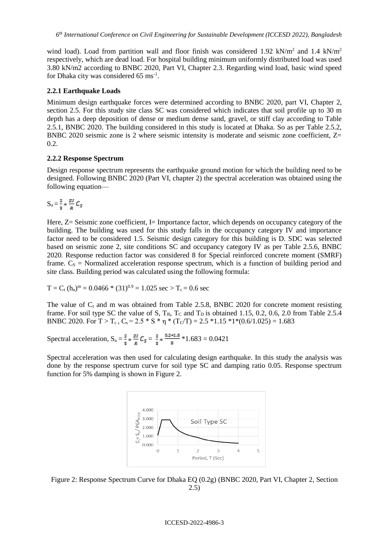wind load). Load from partition wall and floor finish was considered 1.92 kN/m<sup>2</sup> and 1.4 kN/m<sup>2</sup> respectively, which are dead load. For hospital building minimum uniformly distributed load was used 3.80 kN/m2 according to BNBC 2020, Part VI, Chapter 2.3. Regarding wind load, basic wind speed for Dhaka city was considered 65 ms<sup>-1</sup>.

# **2.2.1 Earthquake Loads**

Minimum design earthquake forces were determined according to BNBC 2020, part VI, Chapter 2, section 2.5. For this study site class SC was considered which indicates that soil profile up to 30 m depth has a deep deposition of dense or medium dense sand, gravel, or stiff clay according to Table 2.5.1, BNBC 2020. The building considered in this study is located at Dhaka. So as per Table 2.5.2, BNBC 2020 seismic zone is 2 where seismic intensity is moderate and seismic zone coefficient, Z=  $0.2.$ 

# **2.2.2 Response Spectrum**

Design response spectrum represents the earthquake ground motion for which the building need to be designed. Following BNBC 2020 (Part VI, chapter 2) the spectral acceleration was obtained using the following equation—

$$
S_a = \frac{2}{3} * \frac{zI}{R} C_5
$$

Here,  $Z =$  Seismic zone coefficient, I= Importance factor, which depends on occupancy category of the building. The building was used for this study falls in the occupancy category IV and importance factor need to be considered 1.5. Seismic design category for this building is D. SDC was selected based on seismic zone 2, site conditions SC and occupancy category IV as per Table 2.5.6, BNBC 2020. Response reduction factor was considered 8 for Special reinforced concrete moment (SMRF) frame.  $C_s$  = Normalized acceleration response spectrum, which is a function of building period and site class. Building period was calculated using the following formula:

$$
T = C_t (h_n)^m = 0.0466 * (31)^{0.9} = 1.025 \text{ sec} > T_c = 0.6 \text{ sec}
$$

The value of  $C_t$  and m was obtained from Table 2.5.8, BNBC 2020 for concrete moment resisting frame. For soil type SC the value of S,  $T_B$ ,  $T_C$  and  $T_D$  is obtained 1.15, 0.2, 0.6, 2.0 from Table 2.5.4 BNBC 2020. For  $T > T_c$ ,  $C_s = 2.5 * S * \eta * (T_c/T) = 2.5 * 1.15 * 1 * (0.6/1.025) = 1.683$ 

Spectral acceleration,  $S_a = \frac{2}{3} * \frac{zI}{R} C_5 = \frac{2}{3} * \frac{0.2 * 1.5}{8} * 1.683 = 0.0421$ 

Spectral acceleration was then used for calculating design earthquake. In this study the analysis was done by the response spectrum curve for soil type SC and damping ratio 0.05. Response spectrum function for 5% damping is shown in Figure 2.



Figure 2: Response Spectrum Curve for Dhaka EQ (0.2g) (BNBC 2020, Part VI, Chapter 2, Section 2.5)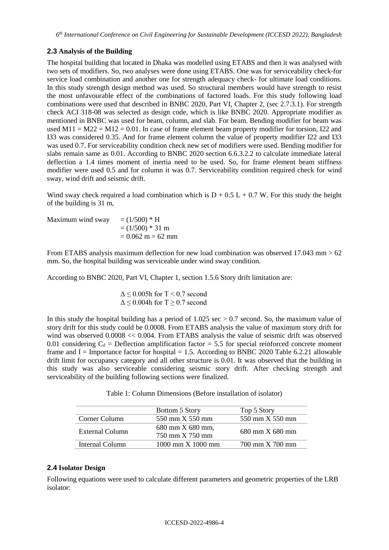# **2.3 Analysis of the Building**

The hospital building that located in Dhaka was modelled using ETABS and then it was analysed with two sets of modifiers. So, two analyses were done using ETABS. One was for serviceability check-for service load combination and another one for strength adequacy check- for ultimate load conditions. In this study strength design method was used. So structural members would have strength to resist the most unfavourable effect of the combinations of factored loads. For this study following load combinations were used that described in BNBC 2020, Part VI, Chapter 2, (sec 2.7.3.1). For strength check ACI 318-08 was selected as design code, which is like BNBC 2020. Appropriate modifier as mentioned in BNBC was used for beam, column, and slab. For beam. Bending modifier for beam was used M11 = M22 = M12 = 0.01. In case of frame element beam property modifier for torsion, I22 and I33 was considered 0.35. And for frame element column the value of property modifier I22 and I33 was used 0.7. For serviceability condition check new set of modifiers were used. Bending modifier for slabs remain same as 0.01. According to BNBC 2020 section 6.6.3.2.2 to calculate immediate lateral deflection a 1.4 times moment of inertia need to be used. So, for frame element beam stiffness modifier were used 0.5 and for column it was 0.7. Serviceability condition required check for wind sway, wind drift and seismic drift.

Wind sway check required a load combination which is  $D + 0.5 L + 0.7 W$ . For this study the height of the building is 31 m,

Maximum wind sway  $= (1/500) * H$  $= (1/500) * 31$  m  $= 0.062$  m  $= 62$  mm

From ETABS analysis maximum deflection for new load combination was observed 17.043 mm > 62 mm. So, the hospital building was serviceable under wind sway condition.

According to BNBC 2020, Part VI, Chapter 1, section 1.5.6 Story drift limitation are:

 $\Delta \leq 0.005$ h for T < 0.7 second  $\Delta \leq 0.004$ h for T  $\geq 0.7$  second

In this study the hospital building has a period of  $1.025 \text{ sec} > 0.7 \text{ second}$ . So, the maximum value of story drift for this study could be 0.0008. From ETABS analysis the value of maximum story drift for wind was observed 0.0008 << 0.004. From ETABS analysis the value of seismic drift was observed 0.01 considering  $C_d$  = Deflection amplification factor = 5.5 for special reinforced concrete moment frame and  $I =$  Importance factor for hospital  $= 1.5$ . According to BNBC 2020 Table 6.2.21 allowable drift limit for occupancy category and all other structure is 0.01. It was observed that the building in this study was also serviceable considering seismic story drift. After checking strength and serviceability of the building following sections were finalized.

Table 1: Column Dimensions (Before installation of isolator)

|                 | Bottom 5 Story                           | Top 5 Story                            |  |
|-----------------|------------------------------------------|----------------------------------------|--|
| Corner Column   | 550 mm X 550 mm                          | 550 mm X 550 mm                        |  |
| External Column | 680 mm X 680 mm,                         | $680 \text{ mm} \times 680 \text{ mm}$ |  |
|                 | 750 mm X 750 mm                          |                                        |  |
| Internal Column | $1000 \text{ mm} \times 1000 \text{ mm}$ | 700 mm X 700 mm                        |  |

### **2.4 Isolator Design**

Following equations were used to calculate different parameters and geometric properties of the LRB isolator: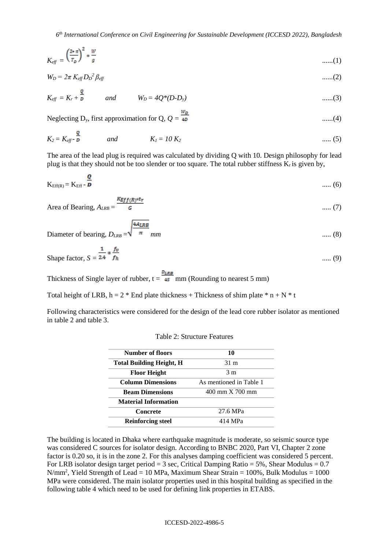*6 th International Conference on Civil Engineering for Sustainable Development (ICCESD 2022), Bangladesh*

$$
K_{\text{eff}} = \left(\frac{2 \cdot \pi}{T_D}\right)^2 \ast \frac{W}{g} \tag{1}
$$

$$
W_D = 2\pi K_{\text{eff}} D_D{}^2 \beta_{\text{eff}} \tag{2}
$$

$$
K_{eff} = K_r + \frac{Q}{R}
$$
 and  $W_D = 4Q^*(D-D_y)$  ......(3)

Neglecting D<sub>y</sub>, first approximation for Q,  $Q = \frac{w_D}{4D}$  .......(4)

$$
K_2 = K_{eff} - \frac{Q}{D}
$$
 and  $K_1 = 10 K_2$  ..... (5)

The area of the lead plug is required was calculated by dividing Q with 10. Design philosophy for lead plug is that they should not be too slender or too square. The total rubber stiffness  $K_r$  is given by,

$$
K_{Eff(R)} = K_{Eff} - \frac{Q}{D} \tag{6}
$$

Area of Bearing, 
$$
A_{LRB} = \frac{K_{Eff(R)} * t_r}{G}
$$
 ..... (7)

Diameter of bearing, 
$$
D_{LRB} = \sqrt{\pi}
$$
 mm (8)

Shape factor,  $S = \frac{1}{2.4} * \frac{Jv}{fh}$  (9)

Thickness of Single layer of rubber,  $t = \frac{D_{LRB}}{45}$  mm (Rounding to nearest 5 mm)

4ALRB

Total height of LRB,  $h = 2 *$  End plate thickness + Thickness of shim plate  $* n + N * t$ 

Following characteristics were considered for the design of the lead core rubber isolator as mentioned in table 2 and table 3.

| Number of floors                    | 10                      |  |
|-------------------------------------|-------------------------|--|
| <b>Total Building Height, H</b>     | $31 \text{ m}$          |  |
| <b>Floor Height</b>                 | 3 <sub>m</sub>          |  |
| <b>Column Dimensions</b>            | As mentioned in Table 1 |  |
| <b>Beam Dimensions</b>              | 400 mm X 700 mm         |  |
| <b>Material Information</b>         |                         |  |
| Concrete                            | 27.6 MPa                |  |
| <b>Reinforcing steel</b><br>414 MPa |                         |  |

Table 2: Structure Features

The building is located in Dhaka where earthquake magnitude is moderate, so seismic source type was considered C sources for isolator design. According to BNBC 2020, Part VI, Chapter 2 zone factor is 0.20 so, it is in the zone 2. For this analyses damping coefficient was considered 5 percent. For LRB isolator design target period = 3 sec, Critical Damping Ratio = 5%, Shear Modulus =  $0.7$  $N/mm^2$ , Yield Strength of Lead = 10 MPa, Maximum Shear Strain = 100%, Bulk Modulus = 1000 MPa were considered. The main isolator properties used in this hospital building as specified in the following table 4 which need to be used for defining link properties in ETABS.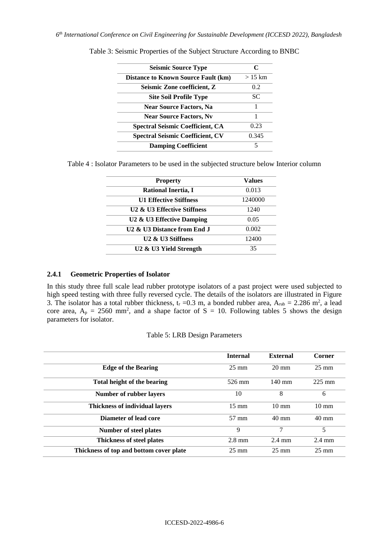| <b>Seismic Source Type</b>                 | $\mathsf{C}$ |
|--------------------------------------------|--------------|
| <b>Distance to Known Source Fault (km)</b> | $>15$ km     |
| Seismic Zone coefficient, Z                | 0.2          |
| <b>Site Soil Profile Type</b>              | SС           |
| <b>Near Source Factors, Na</b>             | 1            |
| <b>Near Source Factors, Nv</b>             |              |
| <b>Spectral Seismic Coefficient, CA</b>    | 0.23         |
| <b>Spectral Seismic Coefficient, CV</b>    | 0.345        |
| <b>Damping Coefficient</b>                 |              |

Table 3: Seismic Properties of the Subject Structure According to BNBC

Table 4 : Isolator Parameters to be used in the subjected structure below Interior column

| <b>Property</b>                                   | <b>Values</b> |
|---------------------------------------------------|---------------|
| Rational Inertia, I                               | 0.013         |
| <b>U1 Effective Stiffness</b>                     | 1240000       |
| U2 & U3 Effective Stiffness                       | 1240          |
| U <sub>2</sub> & U <sub>3</sub> Effective Damping | 0.05          |
| U2 & U3 Distance from End J                       | 0.002         |
| U <sub>2</sub> & U <sub>3</sub> Stiffness         | 12400         |
| U <sub>2</sub> & U <sub>3</sub> Yield Strength    | 35            |

#### **2.4.1 Geometric Properties of Isolator**

In this study three full scale lead rubber prototype isolators of a past project were used subjected to high speed testing with three fully reversed cycle. The details of the isolators are illustrated in Figure 3. The isolator has a total rubber thickness,  $t_r = 0.3$  m, a bonded rubber area,  $A_{\text{rub}} = 2.286$  m<sup>2</sup>, a lead core area,  $A_p = 2560$  mm<sup>2</sup>, and a shape factor of S = 10. Following tables 5 shows the design parameters for isolator.

| Table 5: LRB Design Parameters |  |  |
|--------------------------------|--|--|
|--------------------------------|--|--|

|                                         | <b>Internal</b>  | External         | Corner           |
|-----------------------------------------|------------------|------------------|------------------|
| <b>Edge of the Bearing</b>              | $25 \text{ mm}$  | $20 \text{ mm}$  | $25 \text{ mm}$  |
| Total height of the bearing             | 526 mm           | $140 \text{ mm}$ | $225 \text{ mm}$ |
| <b>Number of rubber layers</b>          | 10               | 8                | 6                |
| <b>Thickness of individual lavers</b>   | $15 \text{ mm}$  | $10 \text{ mm}$  | $10 \text{ mm}$  |
| Diameter of lead core                   | 57 mm            | $40 \text{ mm}$  | $40 \text{ mm}$  |
| <b>Number of steel plates</b>           | 9                | 7                | 5                |
| Thickness of steel plates               | $2.8 \text{ mm}$ | $2.4 \text{ mm}$ | $2.4 \text{ mm}$ |
| Thickness of top and bottom cover plate | $25 \text{ mm}$  | $25 \text{ mm}$  | $25 \text{ mm}$  |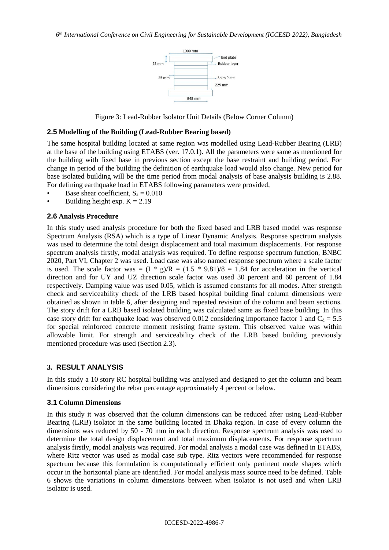

Figure 3: Lead-Rubber Isolator Unit Details (Below Corner Column)

#### **2.5 Modelling of the Building (Lead-Rubber Bearing based)**

The same hospital building located at same region was modelled using Lead-Rubber Bearing (LRB) at the base of the building using ETABS (ver. 17.0.1). All the parameters were same as mentioned for the building with fixed base in previous section except the base restraint and building period. For change in period of the building the definition of earthquake load would also change. New period for base isolated building will be the time period from modal analysis of base analysis building is 2.88. For defining earthquake load in ETABS following parameters were provided,

- Base shear coefficient,  $S_a = 0.010$
- Building height exp.  $K = 2.19$

### **2.6 Analysis Procedure**

In this study used analysis procedure for both the fixed based and LRB based model was response Spectrum Analysis (RSA) which is a type of Linear Dynamic Analysis. Response spectrum analysis was used to determine the total design displacement and total maximum displacements. For response spectrum analysis firstly, modal analysis was required. To define response spectrum function, BNBC 2020, Part VI, Chapter 2 was used. Load case was also named response spectrum where a scale factor is used. The scale factor was =  $(I * g)/R = (1.5 * 9.81)/8 = 1.84$  for acceleration in the vertical direction and for UY and UZ direction scale factor was used 30 percent and 60 percent of 1.84 respectively. Damping value was used 0.05, which is assumed constants for all modes. After strength check and serviceability check of the LRB based hospital building final column dimensions were obtained as shown in table 6, after designing and repeated revision of the column and beam sections. The story drift for a LRB based isolated building was calculated same as fixed base building. In this case story drift for earthquake load was observed 0.012 considering importance factor 1 and  $C<sub>d</sub> = 5.5$ for special reinforced concrete moment resisting frame system. This observed value was within allowable limit. For strength and serviceability check of the LRB based building previously mentioned procedure was used (Section 2.3).

### **3. RESULT ANALYSIS**

In this study a 10 story RC hospital building was analysed and designed to get the column and beam dimensions considering the rebar percentage approximately 4 percent or below.

#### **3.1 Column Dimensions**

In this study it was observed that the column dimensions can be reduced after using Lead-Rubber Bearing (LRB) isolator in the same building located in Dhaka region. In case of every column the dimensions was reduced by 50 - 70 mm in each direction. Response spectrum analysis was used to determine the total design displacement and total maximum displacements. For response spectrum analysis firstly, modal analysis was required. For modal analysis a modal case was defined in ETABS, where Ritz vector was used as modal case sub type. Ritz vectors were recommended for response spectrum because this formulation is computationally efficient only pertinent mode shapes which occur in the horizontal plane are identified. For modal analysis mass source need to be defined. Table 6 shows the variations in column dimensions between when isolator is not used and when LRB isolator is used.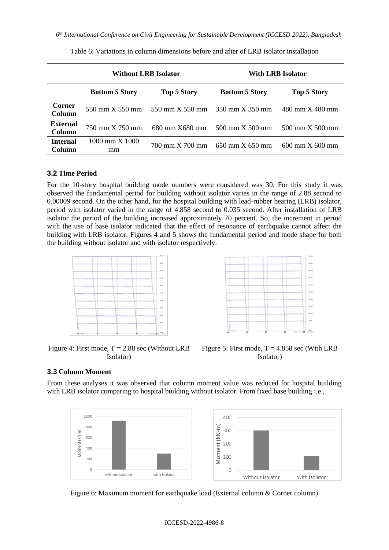|                                  | <b>Without LRB Isolator</b> |                 | With LRB Isolator     |                       |  |
|----------------------------------|-----------------------------|-----------------|-----------------------|-----------------------|--|
|                                  | <b>Bottom 5 Story</b>       | Top 5 Story     | <b>Bottom 5 Story</b> | <b>Top 5 Story</b>    |  |
| Corner<br>Column                 | 550 mm X 550 mm             | 550 mm X 550 mm | 350 mm X 350 mm       | 480 mm X 480 mm       |  |
| <b>External</b><br>Column        | 750 mm X 750 mm             | 680 mm X680 mm  | 500 mm X 500 mm       | 500 mm X 500 mm       |  |
| <b>Internal</b><br><b>Column</b> | 1000 mm X 1000<br>mm        | 700 mm X 700 mm | 650 mm X 650 mm       | $600$ mm $X$ $600$ mm |  |

Table 6: Variations in column dimensions before and after of LRB isolator installation

# **3.2 Time Period**

For the 10-story hospital building mode numbers were considered was 30. For this study it was observed the fundamental period for building without isolator varies in the range of 2.88 second to 0.00009 second. On the other hand, for the hospital building with lead-rubber bearing (LRB) isolator, period with isolator varied in the range of 4.858 second to 0.035 second. After installation of LRB isolator the period of the building increased approximately 70 percent. So, the increment in period with the use of base isolator indicated that the effect of resonance of earthquake cannot affect the building with LRB isolator. Figures 4 and 5 shows the fundamental period and mode shape for both the building without isolator and with isolator respectively.





Figure 4: First mode,  $T = 2.88$  sec (Without LRB Isolator)



### **3.3 Column Moment**

From these analyses it was observed that column moment value was reduced for hospital building with LRB isolator comparing to hospital building without isolator. From fixed base building i.e.,



Figure 6: Maximum moment for earthquake load (External column & Corner column)

#### ICCESD-2022-4986-8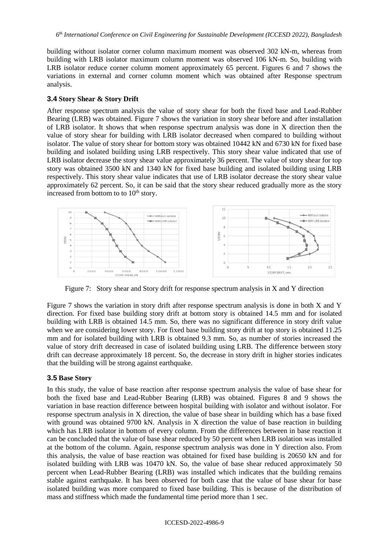building without isolator corner column maximum moment was observed 302 kN-m, whereas from building with LRB isolator maximum column moment was observed 106 kN-m. So, building with LRB isolator reduce corner column moment approximately 65 percent. Figures 6 and 7 shows the variations in external and corner column moment which was obtained after Response spectrum analysis.

### **3.4 Story Shear & Story Drift**

After response spectrum analysis the value of story shear for both the fixed base and Lead-Rubber Bearing (LRB) was obtained. Figure 7 shows the variation in story shear before and after installation of LRB isolator. It shows that when response spectrum analysis was done in X direction then the value of story shear for building with LRB isolator decreased when compared to building without isolator. The value of story shear for bottom story was obtained 10442 kN and 6730 kN for fixed base building and isolated building using LRB respectively. This story shear value indicated that use of LRB isolator decrease the story shear value approximately 36 percent. The value of story shear for top story was obtained 3500 kN and 1340 kN for fixed base building and isolated building using LRB respectively. This story shear value indicates that use of LRB isolator decrease the story shear value approximately 62 percent. So, it can be said that the story shear reduced gradually more as the story increased from bottom to to  $10<sup>th</sup>$  story.



Figure 7: Story shear and Story drift for response spectrum analysis in X and Y direction

Figure 7 shows the variation in story drift after response spectrum analysis is done in both X and Y direction. For fixed base building story drift at bottom story is obtained 14.5 mm and for isolated building with LRB is obtained 14.5 mm. So, there was no significant difference in story drift value when we are considering lower story. For fixed base building story drift at top story is obtained 11.25 mm and for isolated building with LRB is obtained 9.3 mm. So, as number of stories increased the value of story drift decreased in case of isolated building using LRB. The difference between story drift can decrease approximately 18 percent. So, the decrease in story drift in higher stories indicates that the building will be strong against earthquake.

### **3.5 Base Story**

In this study, the value of base reaction after response spectrum analysis the value of base shear for both the fixed base and Lead-Rubber Bearing (LRB) was obtained. Figures 8 and 9 shows the variation in base reaction difference between hospital building with isolator and without isolator. For response spectrum analysis in X direction, the value of base shear in building which has a base fixed with ground was obtained 9700 kN. Analysis in X direction the value of base reaction in building which has LRB isolator in bottom of every column. From the differences between in base reaction it can be concluded that the value of base shear reduced by 50 percent when LRB isolation was installed at the bottom of the column. Again, response spectrum analysis was done in Y direction also. From this analysis, the value of base reaction was obtained for fixed base building is 20650 kN and for isolated building with LRB was 10470 kN. So, the value of base shear reduced approximately 50 percent when Lead-Rubber Bearing (LRB) was installed which indicates that the building remains stable against earthquake. It has been observed for both case that the value of base shear for base isolated building was more compared to fixed base building. This is because of the distribution of mass and stiffness which made the fundamental time period more than 1 sec.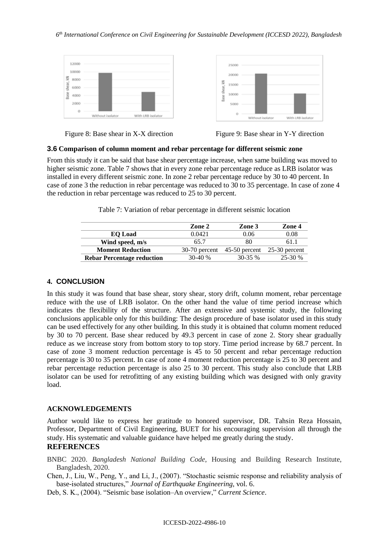



Figure 8: Base shear in X-X direction Figure 9: Base shear in Y-Y direction

#### **3.6 Comparison of column moment and rebar percentage for different seismic zone**

From this study it can be said that base shear percentage increase, when same building was moved to higher seismic zone. Table 7 shows that in every zone rebar percentage reduce as LRB isolator was installed in every different seismic zone. In zone 2 rebar percentage reduce by 30 to 40 percent. In case of zone 3 the reduction in rebar percentage was reduced to 30 to 35 percentage. In case of zone 4 the reduction in rebar percentage was reduced to 25 to 30 percent.

Table 7: Variation of rebar percentage in different seismic location

|                                   | Zone 2   | Zone 3                          | Zone 4          |
|-----------------------------------|----------|---------------------------------|-----------------|
| <b>EO</b> Load                    | 0.0421   | 0.06                            | 0.08            |
| Wind speed, m/s                   | 65.7     | 80                              | 61.1            |
| <b>Moment Reduction</b>           |          | $30-70$ percent $45-50$ percent | $25-30$ percent |
| <b>Rebar Percentage reduction</b> | $30-40%$ | $30-35%$                        | 25-30 %         |

# **4. CONCLUSION**

In this study it was found that base shear, story shear, story drift, column moment, rebar percentage reduce with the use of LRB isolator. On the other hand the value of time period increase which indicates the flexibility of the structure. After an extensive and systemic study, the following conclusions applicable only for this building: The design procedure of base isolator used in this study can be used effectively for any other building. In this study it is obtained that column moment reduced by 30 to 70 percent. Base shear reduced by 49.3 percent in case of zone 2. Story shear gradually reduce as we increase story from bottom story to top story. Time period increase by 68.7 percent. In case of zone 3 moment reduction percentage is 45 to 50 percent and rebar percentage reduction percentage is 30 to 35 percent. In case of zone 4 moment reduction percentage is 25 to 30 percent and rebar percentage reduction percentage is also 25 to 30 percent. This study also conclude that LRB isolator can be used for retrofitting of any existing building which was designed with only gravity load.

### **ACKNOWLEDGEMENTS**

Author would like to express her gratitude to honored supervisor, DR. Tahsin Reza Hossain, Professor, Department of Civil Engineering, BUET for his encouraging supervision all through the study. His systematic and valuable guidance have helped me greatly during the study.

# **REFERENCES**

BNBC 2020. *Bangladesh National Building Code*, Housing and Building Research Institute, Bangladesh, 2020.

Chen, J., Liu, W., Peng, Y., and Li, J., (2007). "Stochastic seismic response and reliability analysis of base-isolated structures," *Journal of Earthquake Engineering*, vol. 6.

Deb, S. K., (2004). "Seismic base isolation–An overview," *Current Science*.